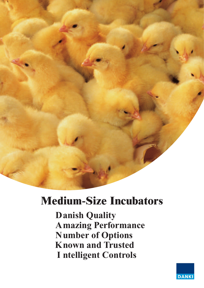

# **Medium-Size Incubators**

**Danish Quality Amazing Performance Number of Options Known and Trusted I** ntelligent Controls

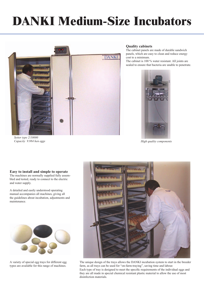# **DANKI Medium-Size Incubators**



*Setter type 2/10000 Capacity 9.984 hen eggs*

### **Quality cabinets**

The cabinet panels are made of durable sandwich panels, which are easy to clean and reduce energy cost to a minimum.

The cabinet is 100 % water resistant. All joints are sealed to ensure that bacteria are unable to penetrate.



*High quality components*

#### **Easy to install and simple to operate** The machines are normally supplied fully assem-

bled and tested, ready to connect to the electric and water supply.

A detailed and easily understood operating manual accompanies all machines, giving all the guidelines about incubation, adjustments and maintenance.



A variety of special egg trays for different egg types are available for this range of machines.



The unique design of the trays allows the DANKI incubation system to start in the breeder farm, as all trays can be used for "on-farm-traying", saving time and labour. Each type of tray is designed to meet the specific requirements of the individual eggs and they are all made in special chemical resistant plastic material to allow the use of most disinfection materials.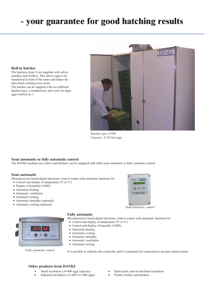## **- your guarantee for good hatching results**

### **Roll-in hatcher**

The hatchers (type 3) are supplied with roll-in stainless steel trolleys. This allows eggs to be transferred in front of the setter and makes the after-hatch washing even easier. The hatcher can be supplied with two different hatcher trays, a standard tray and a tray for large eggs (ostrich etc.)



*Hatcher type 3/3400 Capacity: 3.328 hen eggs*

### **Semi automatic or fully automatic control**

The DANKI medium-size setters and hatchers can be equipped with either semi automatic or fully automatic control.

#### **Semi automatic**

Microprocessor based digital electronic control system with automatic functions for

- Control and display of temperature ( $\rm{^oF}$  or  $\rm{^oC}$ )
- Display of humidity (%RH)
- Automatic heating
- Automatic ventilation
- Automatic turning
- Automatic humidity (optional)
- Automatic cooling (optional)



*Fully automatic control*

### **Fully automatic**

Microprocessor based digital electronic control system with automatic functions for

- Control and display of temperature (ºF or ºC)
- Control and display of humidity (%RH)
- Automatic heating
- Automatic cooling
- Automatic humidity
- Automatic ventilation
- Automatic turning

It is possible to calibrate this controller, and it is prepared for connection to acoustic alarm system.

### **Other products from DANKI**

- Small incubators (10-400 eggs capacity)
- Industrial incubators  $(15.000 121.000$  eggs)
- Spare parts, and second hand incubators
- Poultry feeders and drinkers



*Semi automatic control*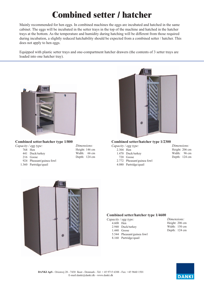# **Combined setter / hatcher**

Mainly recommended for hen eggs. In combined machines the eggs are incubated and hatched in the same cabinet. The eggs will be incubated in the setter trays in the top of the machine and hatched in the hatcher trays at the bottom. As the temperature and humidity during hatching will be different from those required during incubation, a slightly reduced hatchability should be expected from a combined setter / hatcher. This does not apply to hen eggs.

Equipped with plastic setter trays and one-compartment hatcher drawers (the contents of 3 setter trays are loaded into one hatcher tray).



### **Combined setter/hatcher type 1/800**

### *Capacity / egg type:*

- 441 Duck/turkey
- 216 Goose
- 924 Pheasant/guinea fowl
- 1.360 Partridge/quail

| <i>Dimensions:</i> |       |  |  |  |  |
|--------------------|-------|--|--|--|--|
| Height: 146 cm     |       |  |  |  |  |
| Width:             | 66 cm |  |  |  |  |
| Depth: 124 cm      |       |  |  |  |  |



### **Combined setter/hatcher type 1/2300**

|           | $\sim$ $\blacksquare$      |                |
|-----------|----------------------------|----------------|
|           | Capacity / egg type:       | Dimensions:    |
| 2.304 Hen |                            | Height: 206 cn |
|           | 1.470 Duck/turkey          | Width: 96 cr   |
|           | 720 Goose                  | Depth: 124 cr  |
|           | 2.772 Pheasant/guinea fowl |                |
|           | 4.080 Partridge/quail      |                |
|           |                            |                |





### **Combined setter/hatcher type 1/4600**<br>*Capacity / egg type:*

|           | Capacity / egg type:       |
|-----------|----------------------------|
| 4.608 Hen |                            |
|           | 2.940 Duck/turkey          |
|           | $1.440$ Goose              |
|           | 5.544 Pheasant/guinea fowl |
|           | 8.160 Partridge/quail      |
|           |                            |

*Dimensions:* Height: 206 cm Width: 150 cm Depth: 124 cm

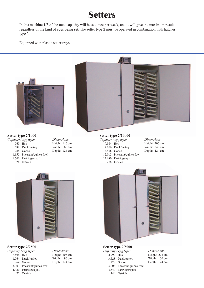### **Setters**

In this machine  $1/3$  of the total capacity will be set once per week, and it will give the maximum result regardless of the kind of eggs being set. The setter type 2 must be operated in combination with hatcher type 3.

Equipped with plastic setter trays.



8.840 Partridge/quail 144 Ostrich

- 3.003 Pheasant/guinea fowl
- 4.420 Partridge/quail
	- 72 Ostrich